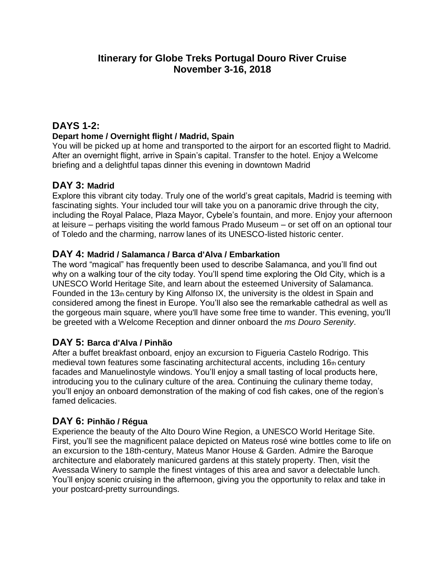# **Itinerary for Globe Treks Portugal Douro River Cruise November 3-16, 2018**

# **DAYS 1-2:**

#### **Depart home / Overnight flight / Madrid, Spain**

You will be picked up at home and transported to the airport for an escorted flight to Madrid. After an overnight flight, arrive in Spain's capital. Transfer to the hotel. Enjoy a Welcome briefing and a delightful tapas dinner this evening in downtown Madrid

### **DAY 3: Madrid**

Explore this vibrant city today. Truly one of the world's great capitals, Madrid is teeming with fascinating sights. Your included tour will take you on a panoramic drive through the city, including the Royal Palace, Plaza Mayor, Cybele's fountain, and more. Enjoy your afternoon at leisure – perhaps visiting the world famous Prado Museum – or set off on an optional tour of Toledo and the charming, narrow lanes of its UNESCO-listed historic center.

### **DAY 4: Madrid / Salamanca / Barca d'Alva / Embarkation**

The word "magical" has frequently been used to describe Salamanca, and you'll find out why on a walking tour of the city today. You'll spend time exploring the Old City, which is a UNESCO World Heritage Site, and learn about the esteemed University of Salamanca. Founded in the 13th century by King Alfonso IX, the university is the oldest in Spain and considered among the finest in Europe. You'll also see the remarkable cathedral as well as the gorgeous main square, where you'll have some free time to wander. This evening, you'll be greeted with a Welcome Reception and dinner onboard the *ms Douro Serenity*.

### **DAY 5: Barca d'Alva / Pinhão**

After a buffet breakfast onboard, enjoy an excursion to Figueria Castelo Rodrigo. This medieval town features some fascinating architectural accents, including 16th century facades and Manuelinostyle windows. You'll enjoy a small tasting of local products here, introducing you to the culinary culture of the area. Continuing the culinary theme today, you'll enjoy an onboard demonstration of the making of cod fish cakes, one of the region's famed delicacies.

### **DAY 6: Pinhão / Régua**

Experience the beauty of the Alto Douro Wine Region, a UNESCO World Heritage Site. First, you'll see the magnificent palace depicted on Mateus rosé wine bottles come to life on an excursion to the 18th-century, Mateus Manor House & Garden. Admire the Baroque architecture and elaborately manicured gardens at this stately property. Then, visit the Avessada Winery to sample the finest vintages of this area and savor a delectable lunch. You'll enjoy scenic cruising in the afternoon, giving you the opportunity to relax and take in your postcard-pretty surroundings.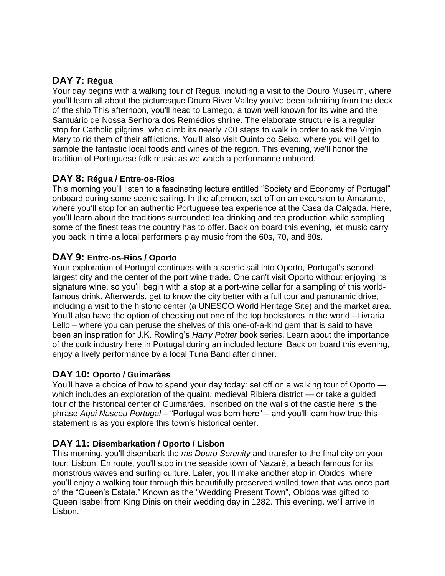# **DAY 7: Régua**

Your day begins with a walking tour of Regua, including a visit to the Douro Museum, where you'll learn all about the picturesque Douro River Valley you've been admiring from the deck of the ship.This afternoon, you'll head to Lamego, a town well known for its wine and the Santuário de Nossa Senhora dos Remédios shrine. The elaborate structure is a regular stop for Catholic pilgrims, who climb its nearly 700 steps to walk in order to ask the Virgin Mary to rid them of their afflictions. You'll also visit Quinto do Seixo, where you will get to sample the fantastic local foods and wines of the region. This evening, we'll honor the tradition of Portuguese folk music as we watch a performance onboard.

### **DAY 8: Régua / Entre-os-Rios**

This morning you'll listen to a fascinating lecture entitled "Society and Economy of Portugal" onboard during some scenic sailing. In the afternoon, set off on an excursion to Amarante, where you'll stop for an authentic Portuguese tea experience at the Casa da Calçada. Here, you'll learn about the traditions surrounded tea drinking and tea production while sampling some of the finest teas the country has to offer. Back on board this evening, let music carry you back in time a local performers play music from the 60s, 70, and 80s.

### **DAY 9: Entre-os-Rios / Oporto**

Your exploration of Portugal continues with a scenic sail into Oporto, Portugal's secondlargest city and the center of the port wine trade. One can't visit Oporto without enjoying its signature wine, so you'll begin with a stop at a port-wine cellar for a sampling of this worldfamous drink. Afterwards, get to know the city better with a full tour and panoramic drive, including a visit to the historic center (a UNESCO World Heritage Site) and the market area. You'll also have the option of checking out one of the top bookstores in the world –Livraria Lello – where you can peruse the shelves of this one-of-a-kind gem that is said to have been an inspiration for J.K. Rowling's *Harry Potter* book series. Learn about the importance of the cork industry here in Portugal during an included lecture. Back on board this evening, enjoy a lively performance by a local Tuna Band after dinner.

### **DAY 10: Oporto / Guimarães**

You'll have a choice of how to spend your day today: set off on a walking tour of Oporto which includes an exploration of the quaint, medieval Ribiera district — or take a guided tour of the historical center of Guimarães. Inscribed on the walls of the castle here is the phrase *Aqui Nasceu Portugal* – "Portugal was born here" – and you'll learn how true this statement is as you explore this town's historical center.

### **DAY 11: Disembarkation / Oporto / Lisbon**

This morning, you'll disembark the *ms Douro Serenity* and transfer to the final city on your tour: Lisbon. En route, you'll stop in the seaside town of Nazaré, a beach famous for its monstrous waves and surfing culture. Later, you'll make another stop in Obidos, where you'll enjoy a walking tour through this beautifully preserved walled town that was once part of the "Queen's Estate." Known as the "Wedding Present Town", Obidos was gifted to Queen Isabel from King Dinis on their wedding day in 1282. This evening, we'll arrive in Lisbon.